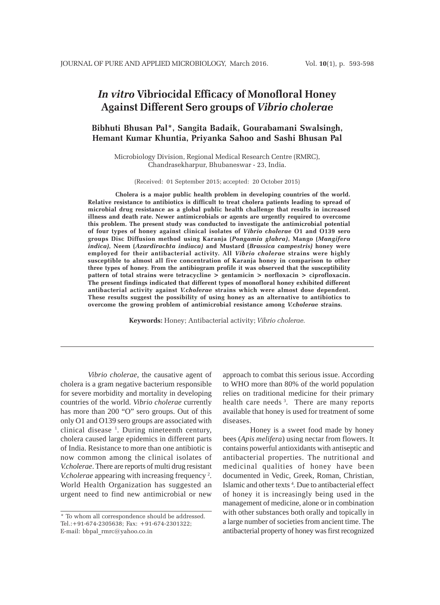# *In vitro* **Vibriocidal Efficacy of Monofloral Honey Against Different Sero groups of** *Vibrio cholerae*

## **Bibhuti Bhusan Pal\*, Sangita Badaik, Gourabamani Swalsingh, Hemant Kumar Khuntia, Priyanka Sahoo and Sashi Bhusan Pal**

Microbiology Division, Regional Medical Research Centre (RMRC), Chandrasekharpur, Bhubaneswar - 23, India.

(Received: 01 September 2015; accepted: 20 October 2015)

**Cholera is a major public health problem in developing countries of the world. Relative resistance to antibiotics is difficult to treat cholera patients leading to spread of microbial drug resistance as a global public health challenge that results in increased illness and death rate. Newer antimicrobials or agents are urgently required to overcome this problem. The present study was conducted to investigate the antimicrobial potential of four types of honey against clinical isolates of** *Vibrio cholerae* **O1 and O139 sero groups Disc Diffusion method using Karanja (***Pongamia glabra)***, Mango (***Mangifera indica)***, Neem (***Azardirachta indiaca)* **and Mustard (***Brassica campestris)* **honey were employed for their antibacterial activity. All** *Vibrio cholerae* **strains were highly susceptible to almost all five concentration of Karanja honey in comparison to other three types of honey. From the antibiogram profile it was observed that the susceptibility pattern of total strains were tetracycline > gentamicin > norfloxacin > ciprofloxacin. The present findings indicated that different types of monofloral honey exhibited different antibacterial activity against** *V.cholerae* **strains which were almost dose dependent. These results suggest the possibility of using honey as an alternative to antibiotics to overcome the growing problem of antimicrobial resistance among** *V.cholerae* **strains.**

**Keywords:** Honey; Antibacterial activity; *Vibrio cholerae.*

*Vibrio cholerae*, the causative agent of cholera is a gram negative bacterium responsible for severe morbidity and mortality in developing countries of the world. *Vibrio cholerae* currently has more than 200 "O" sero groups. Out of this only O1 and O139 sero groups are associated with clinical disease <sup>1</sup>. During nineteenth century, cholera caused large epidemics in different parts of India. Resistance to more than one antibiotic is now common among the clinical isolates of *V.cholerae*. There are reports of multi drug resistant V.*cholerae* appearing with increasing frequency<sup>2</sup>. World Health Organization has suggested an urgent need to find new antimicrobial or new

approach to combat this serious issue. According to WHO more than 80% of the world population relies on traditional medicine for their primary health care needs<sup>3</sup>. There are many reports available that honey is used for treatment of some diseases.

Honey is a sweet food made by honey bees (*Apis melifera*) using nectar from flowers. It contains powerful antioxidants with antiseptic and antibacterial properties. The nutritional and medicinal qualities of honey have been documented in Vedic, Greek, Roman, Christian, Islamic and other texts 4 *.* Due to antibacterial effect of honey it is increasingly being used in the management of medicine, alone or in combination with other substances both orally and topically in a large number of societies from ancient time. The antibacterial property of honey was first recognized

<sup>\*</sup> To whom all correspondence should be addressed. Tel.:+91-674-2305638; Fax: +91-674-2301322; E-mail: bbpal\_rmrc@yahoo.co.in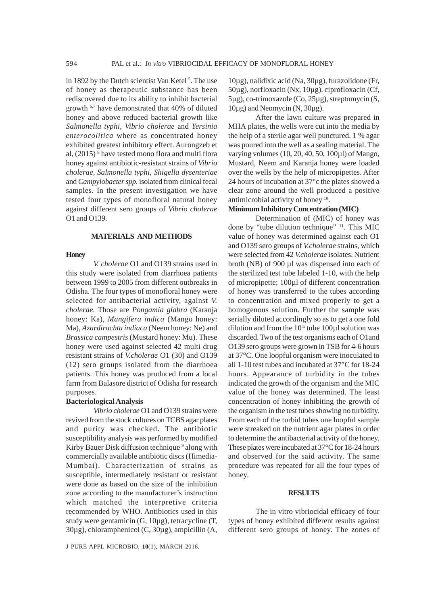in 1892 by the Dutch scientist Van Ketel<sup>5</sup>. The use of honey as therapeutic substance has been rediscovered due to its ability to inhibit bacterial growth 6,7 have demonstrated that 40% of diluted honey and above reduced bacterial growth like *Salmonella typhi*, *Vibrio cholerae* and *Yersinia enterocolitica* where as concentrated honey exhibited greatest inhibitory effect. Aurongzeb et al, (2015) 8 have tested mono flora and multi flora honey against antibiotic-resistant strains of *Vibrio cholerae, Salmonella typhi, Shigella dysenteriae* and *Campylobacter spp.* isolated from clinical fecal samples. In the present investigation we have tested four types of monofloral natural honey against different sero groups of *Vibrio cholerae* O1 and O139.

## **MATERIALS AND METHODS**

#### **Honey**

*V. cholerae* O1 and O139 strains used in this study were isolated from diarrhoea patients between 1999 to 2005 from different outbreaks in Odisha. The four types of monofloral honey were selected for antibacterial activity, against *V. cholerae.* Those are *Pongamia glabra* (Karanja honey: Ka), *Mangifera indica* (Mango honey: Ma), *Azardirachta indiaca* (Neem honey: Ne) and *Brassica campestris* (Mustard honey: Mu). These honey were used against selected 42 multi drug resistant strains of *V.cholerae* O1 (30) and O139 (12) sero groups isolated from the diarrhoea patients. This honey was produced from a local farm from Balasore district of Odisha for research purposes.

#### **Bacteriological Analysis**

*Vibrio cholerae* O1 and O139 strains were revived from the stock cultures on TCBS agar plates and purity was checked. The antibiotic susceptibility analysis was performed by modified Kirby Bauer Disk diffusion technique <sup>9</sup> along with commercially available antibiotic discs (Himedia-Mumbai). Characterization of strains as susceptible, intermediately resistant or resistant were done as based on the size of the inhibition zone according to the manufacturer's instruction which matched the interpretive criteria recommended by WHO. Antibiotics used in this study were gentamicin (G, 10µg), tetracycline (T, 30µg), chloramphenicol (C, 30µg), ampicillin (A,

J PURE APPL MICROBIO*,* **10**(1), MARCH 2016.

10µg), nalidixic acid (Na, 30µg), furazolidone (Fr, 50µg), norfloxacin (Nx, 10µg), ciprofloxacin (Cf, 5µg), co-trimoxazole (Co, 25µg), streptomycin (S, 10µg) and Neomycin (N, 30µg).

After the lawn culture was prepared in MHA plates, the wells were cut into the media by the help of a sterile agar well punctured. 1 % agar was poured into the well as a sealing material. The varying volumes (10, 20, 40, 50, 100µl) of Mango, Mustard, Neem and Karanja honey were loaded over the wells by the help of micropipettes. After 24 hours of incubation at 37°c the plates showed a clear zone around the well produced a positive antimicrobial activity of honey 10.

## **Minimum Inhibitory Concentration (MIC)**

Determination of (MIC) of honey was done by "tube dilution technique" 11. This MIC value of honey was determined against each O1 and O139 sero groups of *V.cholerae* strains, which were selected from 42 *V.cholerae* isolates. Nutrient broth (NB) of 900 µl was dispensed into each of the sterilized test tube labeled 1-10, with the help of micropipette; 100µl of different concentration of honey was transferred to the tubes according to concentration and mixed properly to get a homogenous solution. Further the sample was serially diluted accordingly so as to get a one fold dilution and from the  $10<sup>th</sup>$  tube 100 $\mu$ l solution was discarded. Two of the test organisms each of O1and O139 sero groups were grown in TSB for 4-6 hours at 37°C. One loopful organism were inoculated to all 1-10 test tubes and incubated at 37°C for 18-24 hours. Appearance of turbidity in the tubes indicated the growth of the organism and the MIC value of the honey was determined. The least concentration of honey inhibiting the growth of the organism in the test tubes showing no turbidity. From each of the turbid tubes one loopful sample were streaked on the nutrient agar plates in order to determine the antibacterial activity of the honey. These plates were incubated at 37°C for 18-24 hours and observed for the said activity. The same procedure was repeated for all the four types of honey.

## **RESULTS**

The in vitro vibriocidal efficacy of four types of honey exhibited different results against different sero groups of honey. The zones of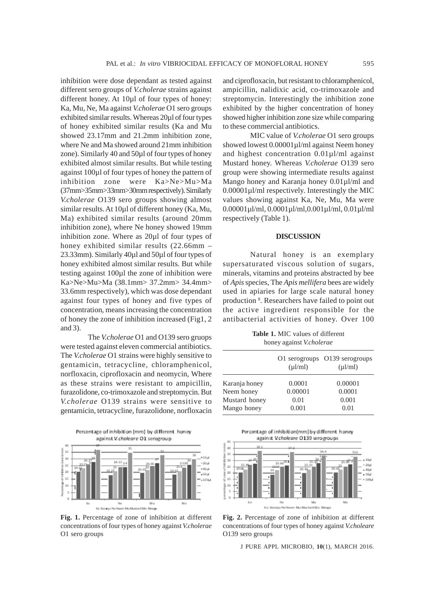inhibition were dose dependant as tested against different sero groups of *V.cholerae* strains against different honey. At 10µl of four types of honey: Ka, Mu, Ne, Ma against *V.cholerae* O1 sero groups exhibited similar results. Whereas 20µl of four types of honey exhibited similar results (Ka and Mu showed 23.17mm and 21.2mm inhibition zone, where Ne and Ma showed around 21mm inhibition zone). Similarly 40 and 50µl of four types of honey exhibited almost similar results. But while testing against 100µl of four types of honey the pattern of inhibition zone were Ka>Ne>Mu>Ma (37mm>35mm>33mm>30mm respectively). Similarly *V.cholerae* O139 sero groups showing almost similar results. At 10µl of different honey (Ka, Mu, Ma) exhibited similar results (around 20mm inhibition zone), where Ne honey showed 19mm inhibition zone. Where as 20µl of four types of honey exhibited similar results (22.66mm – 23.33mm). Similarly 40µl and 50µl of four types of honey exhibited almost similar results. But while testing against 100µl the zone of inhibition were Ka>Ne>Mu>Ma (38.1mm> 37.2mm> 34.4mm> 33.6mm respectively), which was dose dependant against four types of honey and five types of concentration, means increasing the concentration of honey the zone of inhibition increased (Fig1, 2 and 3).

The *V.cholerae* O1 and O139 sero gruops were tested against eleven commercial antibiotics. The *V.cholerae* O1 strains were highly sensitive to gentamicin, tetracycline, chloramphenicol, norfloxacin, ciprofloxacin and neomycin, Where as these strains were resistant to ampicillin, furazolidone, co-trimoxazole and streptomycin. But *V.cholerae* O139 strains were sensitive to gentamicin, tetracycline, furazolidone, norfloxacin



**Fig. 1.** Percentage of zone of inhibition at different concentrations of four types of honey against *V.cholerae* O1 sero groups

and ciprofloxacin, but resistant to chloramphenicol, ampicillin, nalidixic acid, co-trimoxazole and streptomycin. Interestingly the inhibition zone exhibited by the higher concentration of honey showed higher inhibition zone size while comparing to these commercial antibiotics.

MIC value of *V.cholerae* O1 sero groups showed lowest  $0.00001 \mu l/ml$  against Neem honey and highest concentration 0.01µl/ml against Mustard honey. Whereas *V.cholerae* O139 sero group were showing intermediate results against Mango honey and Karanja honey  $0.01 \mu$ l/ml and 0.00001µl/ml respectively. Interestingly the MIC values showing against Ka, Ne, Mu, Ma were 0.00001µl/ml, 0.0001µl/ml,0.001µl/ml, 0.01µl/ml respectively (Table 1).

## **DISCUSSION**

Natural honey is an exemplary supersaturated viscous solution of sugars, minerals, vitamins and proteins abstracted by bee of *Apis* species, The *Apis mellifera* bees are widely used in apiaries for large scale natural honey production <sup>8</sup>. Researchers have failed to point out the active ingredient responsible for the antibacterial activities of honey. Over 100

**Table 1.** MIC values of different honey against *V.cholerae*

|               | $(\mu l/ml)$ | O1 serogroups O139 serogroups<br>$(\mu l/ml)$ |
|---------------|--------------|-----------------------------------------------|
| Karanja honey | 0.0001       | 0.00001                                       |
| Neem honey    | 0.00001      | 0.0001                                        |
| Mustard honey | 0.01         | 0.001                                         |
| Mango honey   | 0.001        | 0.01                                          |
|               |              |                                               |



**Fig. 2.** Percentage of zone of inhibition at different concentrations of four types of honey against *V.choleare* O139 sero groups

J PURE APPL MICROBIO*,* **10**(1), MARCH 2016.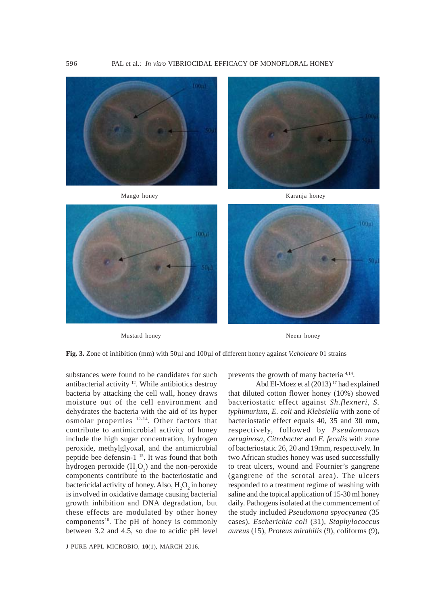

Mustard honey Neem honey

**Fig. 3.** Zone of inhibition (mm) with 50µl and 100µl of different honey against *V.choleare* 01 strains

substances were found to be candidates for such antibacterial activity 12. While antibiotics destroy bacteria by attacking the cell wall, honey draws moisture out of the cell environment and dehydrates the bacteria with the aid of its hyper osmolar properties 12-14. Other factors that contribute to antimicrobial activity of honey include the high sugar concentration, hydrogen peroxide, methylglyoxal, and the antimicrobial peptide bee defensin-1<sup>15</sup>. It was found that both hydrogen peroxide  $(H_2O_2)$  and the non-peroxide components contribute to the bacteriostatic and bactericidal activity of honey. Also,  $H_2O_2$  in honey is involved in oxidative damage causing bacterial growth inhibition and DNA degradation, but these effects are modulated by other honey components<sup>16</sup>. The pH of honey is commonly between 3.2 and 4.5, so due to acidic pH level

J PURE APPL MICROBIO*,* **10**(1), MARCH 2016.

prevents the growth of many bacteria 4,14.

Abd El-Moez et al (2013) 17 had explained that diluted cotton flower honey (10%) showed bacteriostatic effect against *Sh.flexneri*, *S. typhimurium*, *E. coli* and *Klebsiella* with zone of bacteriostatic effect equals 40, 35 and 30 mm, respectively, followed by *Pseudomonas aeruginosa*, *Citrobacter* and *E. fecalis* with zone of bacteriostatic 26, 20 and 19mm, respectively. In two African studies honey was used successfully to treat ulcers, wound and Fournier's gangrene (gangrene of the scrotal area). The ulcers responded to a treatment regime of washing with saline and the topical application of 15-30 ml honey daily. Pathogens isolated at the commencement of the study included *Pseudomona spyocyanea* (35 cases), *Escherichia coli* (31), *Staphylococcus aureus* (15), *Proteus mirabilis* (9), coliforms (9),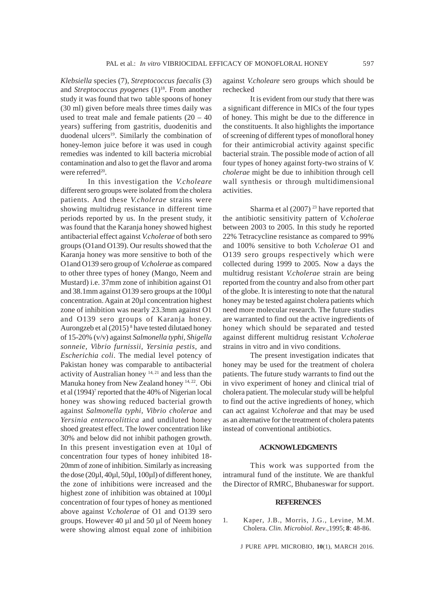*Klebsiella* species (7), *Streptococcus faecalis* (3) and *Streptococcus pyogenes* (1)<sup>18</sup>. From another study it was found that two table spoons of honey (30 ml) given before meals three times daily was used to treat male and female patients  $(20 - 40)$ years) suffering from gastritis, duodenitis and duodenal ulcers<sup>19</sup>. Similarly the combination of honey-lemon juice before it was used in cough remedies was indented to kill bacteria microbial contamination and also to get the flavor and aroma were referred<sup>20</sup>.

In this investigation the *V.choleare* different sero groups were isolated from the cholera patients. And these *V.cholerae* strains were showing multidrug resistance in different time periods reported by us. In the present study, it was found that the Karanja honey showed highest antibacterial effect against *V.cholerae* of both sero groups (O1and O139). Our results showed that the Karanja honey was more sensitive to both of the O1and O139 sero group of *V.cholerae* as compared to other three types of honey (Mango, Neem and Mustard) i.e. 37mm zone of inhibition against O1 and 38.1mm against O139 sero groups at the 100µl concentration. Again at 20µl concentration highest zone of inhibition was nearly 23.3mm against O1 and O139 sero groups of Karanja honey. Aurongzeb et al (2015)<sup>8</sup> have tested dilutaed honey of 15-20% (v/v) against *Salmonella typhi, Shigella sonneie, Vibrio furnissii, Yersinia pestis,* and *Escherichia coli*. The medial level potency of Pakistan honey was comparable to antibacterial activity of Australian honey 14, 21 and less than the Manuka honey from New Zealand honey <sup>14, 22</sup>. Obi et al (1994)<sup>7</sup> reported that the 40% of Nigerian local honey was showing reduced bacterial growth against *Salmonella typhi, Vibrio cholerae* and *Yersinia enterocolittica* and undiluted honey shoed greatest effect. The lower concentration like 30% and below did not inhibit pathogen growth. In this present investigation even at 10µl of concentration four types of honey inhibited 18- 20mm of zone of inhibition. Similarly as increasing the dose (20µl, 40µl, 50µl, 100µl) of different honey, the zone of inhibitions were increased and the highest zone of inhibition was obtained at 100µl concentration of four types of honey as mentioned above against *V.cholerae* of O1 and O139 sero groups. However 40 µl and 50 µl of Neem honey were showing almost equal zone of inhibition against *V.choleare* sero groups which should be rechecked

It is evident from our study that there was a significant difference in MICs of the four types of honey. This might be due to the difference in the constituents. It also highlights the importance of screening of different types of monofloral honey for their antimicrobial activity against specific bacterial strain. The possible mode of action of all four types of honey against forty-two strains of *V. cholerae* might be due to inhibition through cell wall synthesis or through multidimensional activities.

Sharma et al  $(2007)^{23}$  have reported that the antibiotic sensitivity pattern of *V.cholerae* between 2003 to 2005. In this study he reported 22% Tetracycline resistance as compared to 99% and 100% sensitive to both *V.cholerae* O1 and O139 sero groups respectively which were collected during 1999 to 2005. Now a days the multidrug resistant *V.cholerae* strain are being reported from the country and also from other part of the globe. It is interesting to note that the natural honey may be tested against cholera patients which need more molecular research. The future studies are warranted to find out the active ingredients of honey which should be separated and tested against different multidrug resistant *V.cholerae* strains in vitro and in vivo conditions.

The present investigation indicates that honey may be used for the treatment of cholera patients. The future study warrants to find out the in vivo experiment of honey and clinical trial of cholera patient. The molecular study will be helpful to find out the active ingredients of honey, which can act against *V.cholerae* and that may be used as an alternative for the treatment of cholera patents instead of conventional antibiotics.

## **ACKNOWLEDGMENTS**

This work was supported from the intramural fund of the institute. We are thankful the Director of RMRC, Bhubaneswar for support.

## **REFERENCES**

1. Kaper, J.B., Morris, J.G., Levine, M.M. Cholera. *Clin. Microbiol. Rev*.,1995; **8**: 48-86.

J PURE APPL MICROBIO*,* **10**(1), MARCH 2016.